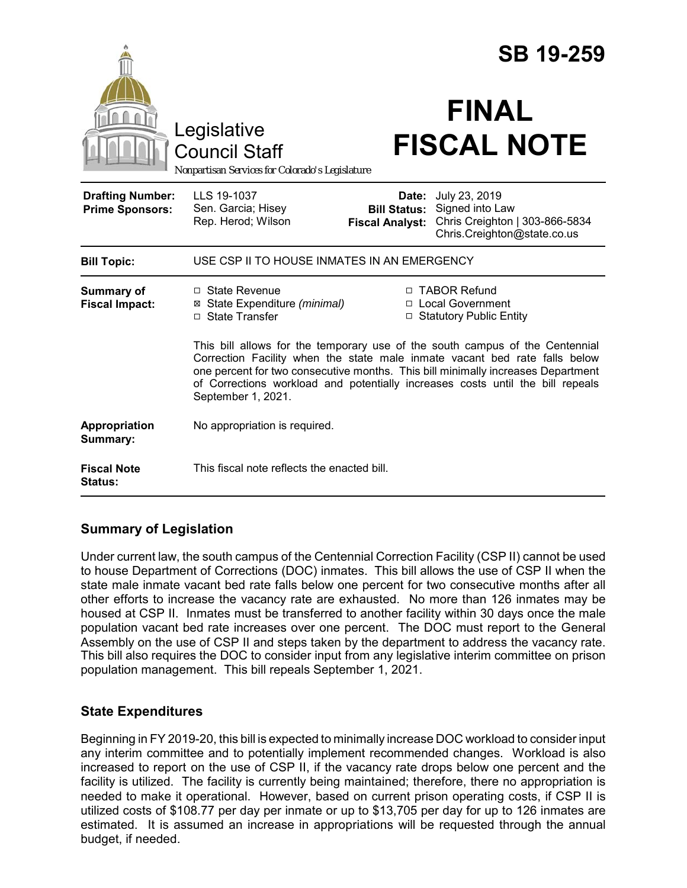|                                                   |                                                                                                                                                                                                                                                                                                                                                                                                                                                                                                          | <b>SB 19-259</b>                              |                                                                                                         |
|---------------------------------------------------|----------------------------------------------------------------------------------------------------------------------------------------------------------------------------------------------------------------------------------------------------------------------------------------------------------------------------------------------------------------------------------------------------------------------------------------------------------------------------------------------------------|-----------------------------------------------|---------------------------------------------------------------------------------------------------------|
|                                                   | Legislative<br><b>Council Staff</b><br>Nonpartisan Services for Colorado's Legislature                                                                                                                                                                                                                                                                                                                                                                                                                   |                                               | <b>FINAL</b><br><b>FISCAL NOTE</b>                                                                      |
| <b>Drafting Number:</b><br><b>Prime Sponsors:</b> | LLS 19-1037<br>Sen. Garcia; Hisey<br>Rep. Herod; Wilson                                                                                                                                                                                                                                                                                                                                                                                                                                                  | <b>Bill Status:</b><br><b>Fiscal Analyst:</b> | Date: July 23, 2019<br>Signed into Law<br>Chris Creighton   303-866-5834<br>Chris.Creighton@state.co.us |
| <b>Bill Topic:</b>                                | USE CSP II TO HOUSE INMATES IN AN EMERGENCY                                                                                                                                                                                                                                                                                                                                                                                                                                                              |                                               |                                                                                                         |
| <b>Summary of</b><br><b>Fiscal Impact:</b>        | □ TABOR Refund<br>$\Box$ State Revenue<br>⊠ State Expenditure (minimal)<br>□ Local Government<br>□ State Transfer<br>□ Statutory Public Entity<br>This bill allows for the temporary use of the south campus of the Centennial<br>Correction Facility when the state male inmate vacant bed rate falls below<br>one percent for two consecutive months. This bill minimally increases Department<br>of Corrections workload and potentially increases costs until the bill repeals<br>September 1, 2021. |                                               |                                                                                                         |
| Appropriation<br>Summary:                         | No appropriation is required.                                                                                                                                                                                                                                                                                                                                                                                                                                                                            |                                               |                                                                                                         |
| <b>Fiscal Note</b><br><b>Status:</b>              | This fiscal note reflects the enacted bill.                                                                                                                                                                                                                                                                                                                                                                                                                                                              |                                               |                                                                                                         |

## **Summary of Legislation**

Under current law, the south campus of the Centennial Correction Facility (CSP II) cannot be used to house Department of Corrections (DOC) inmates. This bill allows the use of CSP II when the state male inmate vacant bed rate falls below one percent for two consecutive months after all other efforts to increase the vacancy rate are exhausted. No more than 126 inmates may be housed at CSP II. Inmates must be transferred to another facility within 30 days once the male population vacant bed rate increases over one percent. The DOC must report to the General Assembly on the use of CSP II and steps taken by the department to address the vacancy rate. This bill also requires the DOC to consider input from any legislative interim committee on prison population management. This bill repeals September 1, 2021.

## **State Expenditures**

Beginning in FY 2019-20, this bill is expected to minimally increase DOC workload to consider input any interim committee and to potentially implement recommended changes. Workload is also increased to report on the use of CSP II, if the vacancy rate drops below one percent and the facility is utilized. The facility is currently being maintained; therefore, there no appropriation is needed to make it operational. However, based on current prison operating costs, if CSP II is utilized costs of \$108.77 per day per inmate or up to \$13,705 per day for up to 126 inmates are estimated. It is assumed an increase in appropriations will be requested through the annual budget, if needed.